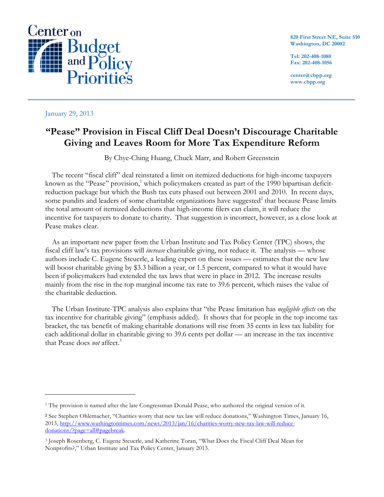

**820 First Street NE, Suite 510 Washington, DC 20002**

**Tel: 202-408-1080 Fax: 202-408-1056**

**center@cbpp.org www.cbpp.org**

January 29, 2013

 $\overline{a}$ 

# **"Pease" Provision in Fiscal Cliff Deal Doesn't Discourage Charitable Giving and Leaves Room for More Tax Expenditure Reform**

By Chye-Ching Huang, Chuck Marr, and Robert Greenstein

The recent "fiscal cliff" deal reinstated a limit on itemized deductions for high-income taxpayers known as the "Pease" provision,<sup>1</sup> which policymakers created as part of the 1990 bipartisan deficitreduction package but which the Bush tax cuts phased out between 2001 and 2010. In recent days, some pundits and leaders of some charitable organizations have suggested<sup>2</sup> that because Pease limits the total amount of itemized deductions that high-income filers can claim, it will reduce the incentive for taxpayers to donate to charity. That suggestion is incorrect, however, as a close look at Pease makes clear.

As an important new paper from the Urban Institute and Tax Policy Center (TPC) shows, the fiscal cliff law's tax provisions will *increase* charitable giving, not reduce it. The analysis — whose authors include C. Eugene Steuerle, a leading expert on these issues — estimates that the new law will boost charitable giving by \$3.3 billion a year, or 1.5 percent, compared to what it would have been if policymakers had extended the tax laws that were in place in 2012. The increase results mainly from the rise in the top marginal income tax rate to 39.6 percent, which raises the value of the charitable deduction.

The Urban Institute-TPC analysis also explains that "the Pease limitation has *negligible effects* on the tax incentive for charitable giving" (emphasis added). It shows that for people in the top income tax bracket, the tax benefit of making charitable donations will rise from 35 cents in less tax liability for each additional dollar in charitable giving to 39.6 cents per dollar — an increase in the tax incentive that Pease does *not* affect. 3

<sup>&</sup>lt;sup>1</sup> The provision is named after the late Congressman Donald Pease, who authored the original version of it.

**<sup>2</sup>** See Stephen Ohlemacher, "Charities worry that new tax law will reduce donations," Washington Times, January 16, 2013, http://www.washingtontimes.com/news/2013/jan/16/charities-worry-new-tax-law-will-reducedonations/?page=all#pagebreak.

<sup>3</sup> Joseph Rosenberg, C. Eugene Steuerle, and Katherine Toran, "What Does the Fiscal Cliff Deal Mean for Nonprofits?," Urban Institute and Tax Policy Center, January 2013.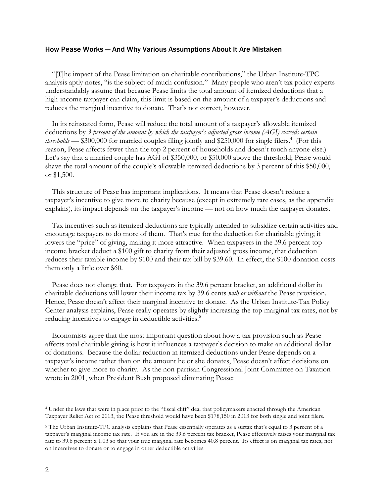### How Pease Works — And Why Various Assumptions About It Are Mistaken

"[T]he impact of the Pease limitation on charitable contributions," the Urban Institute-TPC analysis aptly notes, "is the subject of much confusion." Many people who aren't tax policy experts understandably assume that because Pease limits the total amount of itemized deductions that a high-income taxpayer can claim, this limit is based on the amount of a taxpayer's deductions and reduces the marginal incentive to donate. That's not correct, however.

In its reinstated form, Pease will reduce the total amount of a taxpayer's allowable itemized deductions by *3 percent of the amount by which the taxpayer's adjusted gross income (AGI) exceeds certain thresholds* — \$300,000 for married couples filing jointly and \$250,000 for single filers. 4 (For this reason, Pease affects fewer than the top 2 percent of households and doesn't touch anyone else.) Let's say that a married couple has AGI of \$350,000, or \$50,000 above the threshold; Pease would shave the total amount of the couple's allowable itemized deductions by 3 percent of this \$50,000, or \$1,500.

This structure of Pease has important implications. It means that Pease doesn't reduce a taxpayer's incentive to give more to charity because (except in extremely rare cases, as the appendix explains), its impact depends on the taxpayer's income — not on how much the taxpayer donates.

Tax incentives such as itemized deductions are typically intended to subsidize certain activities and encourage taxpayers to do more of them. That's true for the deduction for charitable giving; it lowers the "price" of giving, making it more attractive. When taxpayers in the 39.6 percent top income bracket deduct a \$100 gift to charity from their adjusted gross income, that deduction reduces their taxable income by \$100 and their tax bill by \$39.60. In effect, the \$100 donation costs them only a little over \$60.

Pease does not change that. For taxpayers in the 39.6 percent bracket, an additional dollar in charitable deductions will lower their income tax by 39.6 cents *with or without* the Pease provision. Hence, Pease doesn't affect their marginal incentive to donate. As the Urban Institute-Tax Policy Center analysis explains, Pease really operates by slightly increasing the top marginal tax rates, not by reducing incentives to engage in deductible activities.<sup>5</sup>

Economists agree that the most important question about how a tax provision such as Pease affects total charitable giving is how it influences a taxpayer's decision to make an additional dollar of donations. Because the dollar reduction in itemized deductions under Pease depends on a taxpayer's income rather than on the amount he or she donates, Pease doesn't affect decisions on whether to give more to charity. As the non-partisan Congressional Joint Committee on Taxation wrote in 2001, when President Bush proposed eliminating Pease:

 $\overline{a}$ 

<sup>4</sup> Under the laws that were in place prior to the "fiscal cliff" deal that policymakers enacted through the American Taxpayer Relief Act of 2013, the Pease threshold would have been \$178,150 in 2013 for both single and joint filers.

<sup>5</sup> The Urban Institute-TPC analysis explains that Pease essentially operates as a surtax that's equal to 3 percent of a taxpayer's marginal income tax rate. If you are in the 39.6 percent tax bracket, Pease effectively raises your marginal tax rate to 39.6 percent x 1.03 so that your true marginal rate becomes 40.8 percent. Its effect is on marginal tax rates, not on incentives to donate or to engage in other deductible activities.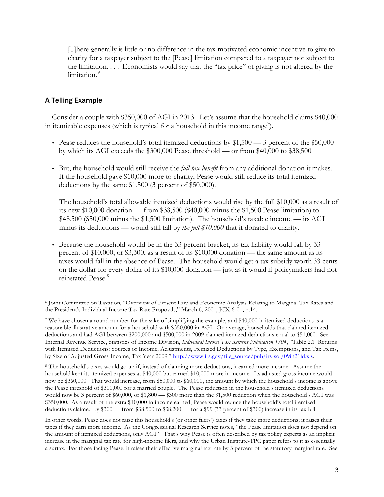[T]here generally is little or no difference in the tax-motivated economic incentive to give to charity for a taxpayer subject to the [Pease] limitation compared to a taxpayer not subject to the limitation. . . . Economists would say that the "tax price" of giving is not altered by the limitation. 6

## A Telling Example

 $\overline{a}$ 

Consider a couple with \$350,000 of AGI in 2013. Let's assume that the household claims \$40,000 in itemizable expenses (which is typical for a household in this income range<sup>7</sup>).

- Pease reduces the household's total itemized deductions by  $$1,500 3$  percent of the  $$50,000$ by which its AGI exceeds the \$300,000 Pease threshold — or from \$40,000 to \$38,500.
- But, the household would still receive the *full tax benefit* from any additional donation it makes. If the household gave \$10,000 more to charity, Pease would still reduce its total itemized deductions by the same \$1,500 (3 percent of \$50,000).

The household's total allowable itemized deductions would rise by the full \$10,000 as a result of its new \$10,000 donation — from \$38,500 (\$40,000 minus the \$1,500 Pease limitation) to \$48,500 (\$50,000 minus the \$1,500 limitation). The household's taxable income — its AGI minus its deductions — would still fall by *the full \$10,000* that it donated to charity.

• Because the household would be in the 33 percent bracket, its tax liability would fall by 33 percent of \$10,000, or \$3,300, as a result of its  $$10,000$  donation — the same amount as its taxes would fall in the absence of Pease. The household would get a tax subsidy worth 33 cents on the dollar for every dollar of its \$10,000 donation — just as it would if policymakers had not reinstated Pease.<sup>8</sup>

In other words, Pease does not raise this household's (or other filers') taxes if they take more deductions; it raises their taxes if they earn more income. As the Congressional Research Service notes, "the Pease limitation does not depend on the amount of itemized deductions, only AGI." That's why Pease is often described by tax policy experts as an implicit increase in the marginal tax rate for high-income filers, and why the Urban Institute-TPC paper refers to it as essentially a surtax. For those facing Pease, it raises their effective marginal tax rate by 3 percent of the statutory marginal rate. See

<sup>6</sup> Joint Committee on Taxation, "Overview of Present Law and Economic Analysis Relating to Marginal Tax Rates and the President's Individual Income Tax Rate Proposals," March 6, 2001, JCX-6-01, p.14.

<sup>7</sup> We have chosen a round number for the sake of simplifying the example, and \$40,000 in itemized deductions is a reasonable illustrative amount for a household with \$350,000 in AGI. On average, households that claimed itemized deductions and had AGI between \$200,000 and \$500,000 in 2009 claimed itemized deductions equal to \$51,000. See Internal Revenue Service, Statistics of Income Division, *Individual Income Tax Returns Publication 1304*, "Table 2.1 Returns with Itemized Deductions: Sources of Income, Adjustments, Itemized Deductions by Type, Exemptions, and Tax Items, by Size of Adjusted Gross Income, Tax Year 2009," http://www.irs.gov/file\_source/pub/irs-soi/09in21id.xls.

<sup>8</sup> The household's taxes would go up if, instead of claiming more deductions, it earned more income. Assume the household kept its itemized expenses at \$40,000 but earned \$10,000 more in income. Its adjusted gross income would now be \$360,000. That would increase, from \$50,000 to \$60,000, the amount by which the household's income is above the Pease threshold of \$300,000 for a married couple. The Pease reduction in the household's itemized deductions would now be 3 percent of \$60,000, or \$1,800 — \$300 more than the \$1,500 reduction when the household's AGI was \$350,000. As a result of the extra \$10,000 in income earned, Pease would reduce the household's total itemized deductions claimed by \$300 — from \$38,500 to \$38,200 — for a \$99 (33 percent of \$300) increase in its tax bill.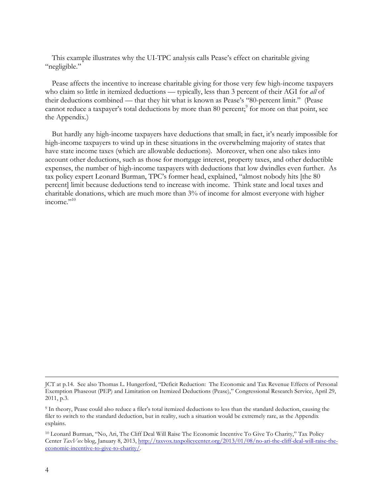This example illustrates why the UI-TPC analysis calls Pease's effect on charitable giving "negligible."

Pease affects the incentive to increase charitable giving for those very few high-income taxpayers who claim so little in itemized deductions — typically, less than 3 percent of their AGI for *all* of their deductions combined — that they hit what is known as Pease's "80-percent limit." (Pease cannot reduce a taxpayer's total deductions by more than 80 percent;<sup>9</sup> for more on that point, see the Appendix.)

But hardly any high-income taxpayers have deductions that small; in fact, it's nearly impossible for high-income taxpayers to wind up in these situations in the overwhelming majority of states that have state income taxes (which are allowable deductions). Moreover, when one also takes into account other deductions, such as those for mortgage interest, property taxes, and other deductible expenses, the number of high-income taxpayers with deductions that low dwindles even further. As tax policy expert Leonard Burman, TPC's former head, explained, "almost nobody hits [the 80 percent] limit because deductions tend to increase with income. Think state and local taxes and charitable donations, which are much more than 3% of income for almost everyone with higher income." $10$ 

JCT at p.14. See also Thomas L. Hungerford, "Deficit Reduction: The Economic and Tax Revenue Effects of Personal Exemption Phaseout (PEP) and Limitation on Itemized Deductions (Pease)," Congressional Research Service, April 29, 2011, p.3.

<sup>9</sup> In theory, Pease could also reduce a filer's total itemized deductions to less than the standard deduction, causing the filer to switch to the standard deduction, but in reality, such a situation would be extremely rare, as the Appendix explains.

<sup>10</sup> Leonard Burman, "No, Ari, The Cliff Deal Will Raise The Economic Incentive To Give To Charity," Tax Policy Center *TaxVox* blog, January 8, 2013, http://taxvox.taxpolicycenter.org/2013/01/08/no-ari-the-cliff-deal-will-raise-theeconomic-incentive-to-give-to-charity/.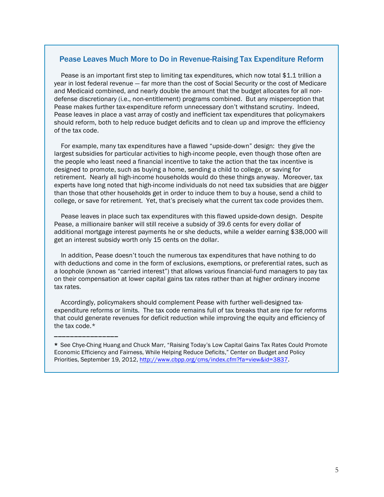### Pease Leaves Much More to Do in Revenue-Raising Tax Expenditure Reform

Pease is an important first step to limiting tax expenditures, which now total \$1.1 trillion a year in lost federal revenue — far more than the cost of Social Security or the cost of Medicare and Medicaid combined, and nearly double the amount that the budget allocates for all nondefense discretionary (i.e., non-entitlement) programs combined. But any misperception that Pease makes further tax-expenditure reform unnecessary don't withstand scrutiny. Indeed, Pease leaves in place a vast array of costly and inefficient tax expenditures that policymakers should reform, both to help reduce budget deficits and to clean up and improve the efficiency of the tax code.

For example, many tax expenditures have a flawed "upside-down" design: they give the largest subsidies for particular activities to high-income people, even though those often are the people who least need a financial incentive to take the action that the tax incentive is designed to promote, such as buying a home, sending a child to college, or saving for retirement. Nearly all high-income households would do these things anyway. Moreover, tax experts have long noted that high-income individuals do not need tax subsidies that are *bigger* than those that other households get in order to induce them to buy a house, send a child to college, or save for retirement. Yet, that's precisely what the current tax code provides them.

Pease leaves in place such tax expenditures with this flawed upside-down design. Despite Pease, a millionaire banker will still receive a subsidy of 39.6 cents for every dollar of additional mortgage interest payments he or she deducts, while a welder earning \$38,000 will get an interest subsidy worth only 15 cents on the dollar.

In addition, Pease doesn't touch the numerous tax expenditures that have nothing to do with deductions and come in the form of exclusions, exemptions, or preferential rates, such as a loophole (known as "carried interest") that allows various financial-fund managers to pay tax on their compensation at lower capital gains tax rates rather than at higher ordinary income tax rates.

Accordingly, policymakers should complement Pease with further well-designed taxexpenditure reforms or limits. The tax code remains full of tax breaks that are ripe for reforms that could generate revenues for deficit reduction while improving the equity and efficiency of the tax code.\*

\_\_\_\_\_\_\_\_\_\_\_\_\_\_\_\_

<sup>\*</sup> See Chye-Ching Huang and Chuck Marr, "Raising Today's Low Capital Gains Tax Rates Could Promote Economic Efficiency and Fairness, While Helping Reduce Deficits," Center on Budget and Policy Priorities, September 19, 2012, http://www.cbpp.org/cms/index.cfm?fa=view&id=3837.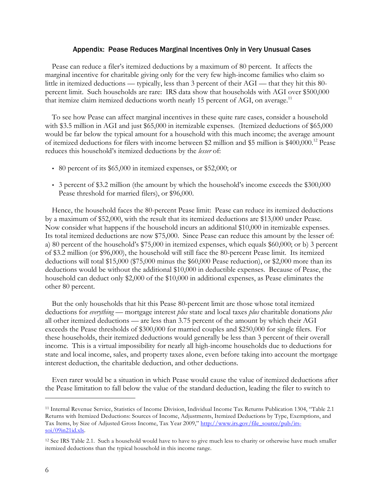#### Appendix: Pease Reduces Marginal Incentives Only in Very Unusual Cases

Pease can reduce a filer's itemized deductions by a maximum of 80 percent. It affects the marginal incentive for charitable giving only for the very few high-income families who claim so little in itemized deductions — typically, less than 3 percent of their AGI — that they hit this 80 percent limit. Such households are rare: IRS data show that households with AGI over \$500,000 that itemize claim itemized deductions worth nearly 15 percent of AGI, on average.<sup>11</sup>

To see how Pease can affect marginal incentives in these quite rare cases, consider a household with \$3.5 million in AGI and just \$65,000 in itemizable expenses. (Itemized deductions of \$65,000 would be far below the typical amount for a household with this much income; the average amount of itemized deductions for filers with income between \$2 million and \$5 million is \$400,000.12 Pease reduces this household's itemized deductions by the *lesser* of:

- 80 percent of its \$65,000 in itemized expenses, or \$52,000; or
- 3 percent of \$3.2 million (the amount by which the household's income exceeds the \$300,000 Pease threshold for married filers), or \$96,000.

Hence, the household faces the 80-percent Pease limit: Pease can reduce its itemized deductions by a maximum of \$52,000, with the result that its itemized deductions are \$13,000 under Pease. Now consider what happens if the household incurs an additional \$10,000 in itemizable expenses. Its total itemized deductions are now \$75,000. Since Pease can reduce this amount by the lesser of: a) 80 percent of the household's \$75,000 in itemized expenses, which equals \$60,000; or b) 3 percent of \$3.2 million (or \$96,000), the household will still face the 80-percent Pease limit. Its itemized deductions will total \$15,000 (\$75,000 minus the \$60,000 Pease reduction), or \$2,000 more than its deductions would be without the additional \$10,000 in deductible expenses. Because of Pease, the household can deduct only \$2,000 of the \$10,000 in additional expenses, as Pease eliminates the other 80 percent.

But the only households that hit this Pease 80-percent limit are those whose total itemized deductions for *everything* — mortgage interest *plus* state and local taxes *plus* charitable donations *plus* all other itemized deductions — are less than 3.75 percent of the amount by which their AGI exceeds the Pease thresholds of \$300,000 for married couples and \$250,000 for single filers. For these households, their itemized deductions would generally be less than 3 percent of their overall income. This is a virtual impossibility for nearly all high-income households due to deductions for state and local income, sales, and property taxes alone, even before taking into account the mortgage interest deduction, the charitable deduction, and other deductions.

Even rarer would be a situation in which Pease would cause the value of itemized deductions after the Pease limitation to fall below the value of the standard deduction, leading the filer to switch to

 $\overline{a}$ 

<sup>11</sup> Internal Revenue Service, Statistics of Income Division, Individual Income Tax Returns Publication 1304, "Table 2.1 Returns with Itemized Deductions: Sources of Income, Adjustments, Itemized Deductions by Type, Exemptions, and Tax Items, by Size of Adjusted Gross Income, Tax Year 2009," http://www.irs.gov/file\_source/pub/irssoi/09in21id.xls.

<sup>12</sup> See IRS Table 2.1. Such a household would have to have to give much less to charity or otherwise have much smaller itemized deductions than the typical household in this income range.